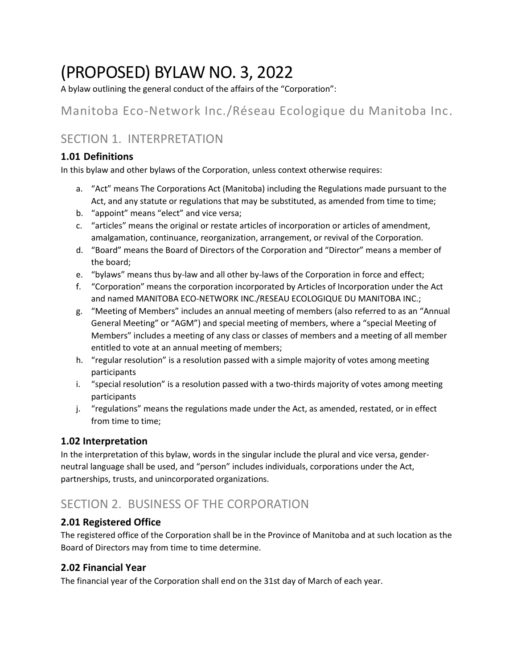# (PROPOSED) BYLAW NO. 3, 2022

A bylaw outlining the general conduct of the affairs of the "Corporation":

# Manitoba Eco-Network Inc./Réseau Ecologique du Manitoba Inc.

# SECTION 1. INTERPRETATION

### **1.01 Definitions**

In this bylaw and other bylaws of the Corporation, unless context otherwise requires:

- a. "Act" means The Corporations Act (Manitoba) including the Regulations made pursuant to the Act, and any statute or regulations that may be substituted, as amended from time to time;
- b. "appoint" means "elect" and vice versa;
- c. "articles" means the original or restate articles of incorporation or articles of amendment, amalgamation, continuance, reorganization, arrangement, or revival of the Corporation.
- d. "Board" means the Board of Directors of the Corporation and "Director" means a member of the board;
- e. "bylaws" means thus by-law and all other by-laws of the Corporation in force and effect;
- f. "Corporation" means the corporation incorporated by Articles of Incorporation under the Act and named MANITOBA ECO-NETWORK INC./RESEAU ECOLOGIQUE DU MANITOBA INC.;
- g. "Meeting of Members" includes an annual meeting of members (also referred to as an "Annual General Meeting" or "AGM") and special meeting of members, where a "special Meeting of Members" includes a meeting of any class or classes of members and a meeting of all member entitled to vote at an annual meeting of members;
- h. "regular resolution" is a resolution passed with a simple majority of votes among meeting participants
- i. "special resolution" is a resolution passed with a two-thirds majority of votes among meeting participants
- j. "regulations" means the regulations made under the Act, as amended, restated, or in effect from time to time;

#### **1.02 Interpretation**

In the interpretation of this bylaw, words in the singular include the plural and vice versa, genderneutral language shall be used, and "person" includes individuals, corporations under the Act, partnerships, trusts, and unincorporated organizations.

# SECTION 2. BUSINESS OF THE CORPORATION

#### **2.01 Registered Office**

The registered office of the Corporation shall be in the Province of Manitoba and at such location as the Board of Directors may from time to time determine.

#### **2.02 Financial Year**

The financial year of the Corporation shall end on the 31st day of March of each year.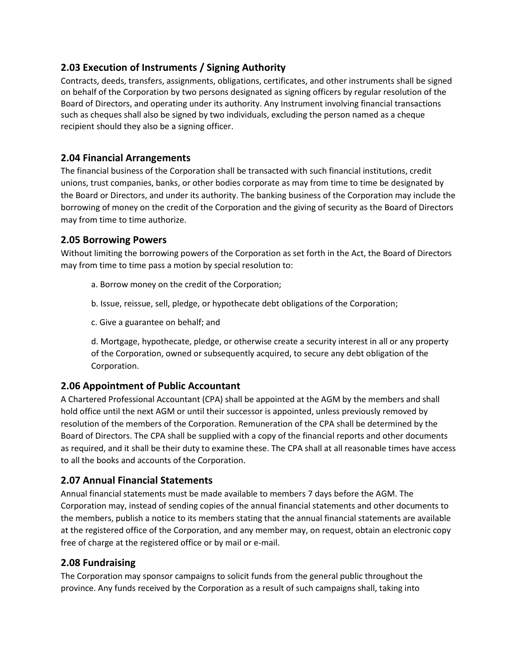#### **2.03 Execution of Instruments / Signing Authority**

Contracts, deeds, transfers, assignments, obligations, certificates, and other instruments shall be signed on behalf of the Corporation by two persons designated as signing officers by regular resolution of the Board of Directors, and operating under its authority. Any Instrument involving financial transactions such as cheques shall also be signed by two individuals, excluding the person named as a cheque recipient should they also be a signing officer.

#### **2.04 Financial Arrangements**

The financial business of the Corporation shall be transacted with such financial institutions, credit unions, trust companies, banks, or other bodies corporate as may from time to time be designated by the Board or Directors, and under its authority. The banking business of the Corporation may include the borrowing of money on the credit of the Corporation and the giving of security as the Board of Directors may from time to time authorize.

#### **2.05 Borrowing Powers**

Without limiting the borrowing powers of the Corporation as set forth in the Act, the Board of Directors may from time to time pass a motion by special resolution to:

- a. Borrow money on the credit of the Corporation;
- b. Issue, reissue, sell, pledge, or hypothecate debt obligations of the Corporation;
- c. Give a guarantee on behalf; and

d. Mortgage, hypothecate, pledge, or otherwise create a security interest in all or any property of the Corporation, owned or subsequently acquired, to secure any debt obligation of the Corporation.

#### **2.06 Appointment of Public Accountant**

A Chartered Professional Accountant (CPA) shall be appointed at the AGM by the members and shall hold office until the next AGM or until their successor is appointed, unless previously removed by resolution of the members of the Corporation. Remuneration of the CPA shall be determined by the Board of Directors. The CPA shall be supplied with a copy of the financial reports and other documents as required, and it shall be their duty to examine these. The CPA shall at all reasonable times have access to all the books and accounts of the Corporation.

#### **2.07 Annual Financial Statements**

Annual financial statements must be made available to members 7 days before the AGM. The Corporation may, instead of sending copies of the annual financial statements and other documents to the members, publish a notice to its members stating that the annual financial statements are available at the registered office of the Corporation, and any member may, on request, obtain an electronic copy free of charge at the registered office or by mail or e-mail.

#### **2.08 Fundraising**

The Corporation may sponsor campaigns to solicit funds from the general public throughout the province. Any funds received by the Corporation as a result of such campaigns shall, taking into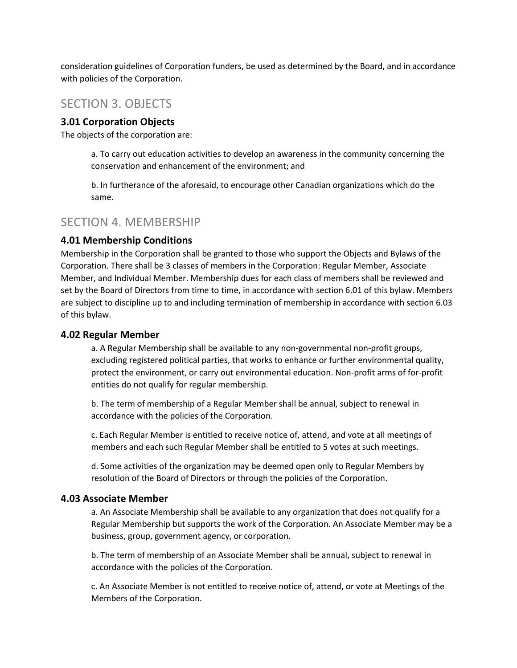consideration guidelines of Corporation funders, be used as determined by the Board, and in accordance with policies of the Corporation.

### SECTION 3. OBJECTS

#### **3.01 Corporation Objects**

The objects of the corporation are:

a. To carry out education activities to develop an awareness in the community concerning the conservation and enhancement of the environment; and

b. In furtherance of the aforesaid, to encourage other Canadian organizations which do the same.

#### SECTION 4. MEMBERSHIP

#### **4.01 Membership Conditions**

Membership in the Corporation shall be granted to those who support the Objects and Bylaws of the Corporation. There shall be 3 classes of members in the Corporation: Regular Member, Associate Member, and Individual Member. Membership dues for each class of members shall be reviewed and set by the Board of Directors from time to time, in accordance with section 6.01 of this bylaw. Members are subject to discipline up to and including termination of membership in accordance with section 6.03 of this bylaw.

#### **4.02 Regular Member**

a. A Regular Membership shall be available to any non-governmental non-profit groups, excluding registered political parties, that works to enhance or further environmental quality, protect the environment, or carry out environmental education. Non-profit arms of for-profit entities do not qualify for regular membership.

b. The term of membership of a Regular Member shall be annual, subject to renewal in accordance with the policies of the Corporation.

c. Each Regular Member is entitled to receive notice of, attend, and vote at all meetings of members and each such Regular Member shall be entitled to 5 votes at such meetings.

d. Some activities of the organization may be deemed open only to Regular Members by resolution of the Board of Directors or through the policies of the Corporation.

#### **4.03 Associate Member**

a. An Associate Membership shall be available to any organization that does not qualify for a Regular Membership but supports the work of the Corporation. An Associate Member may be a business, group, government agency, or corporation.

b. The term of membership of an Associate Member shall be annual, subject to renewal in accordance with the policies of the Corporation.

c. An Associate Member is not entitled to receive notice of, attend, or vote at Meetings of the Members of the Corporation.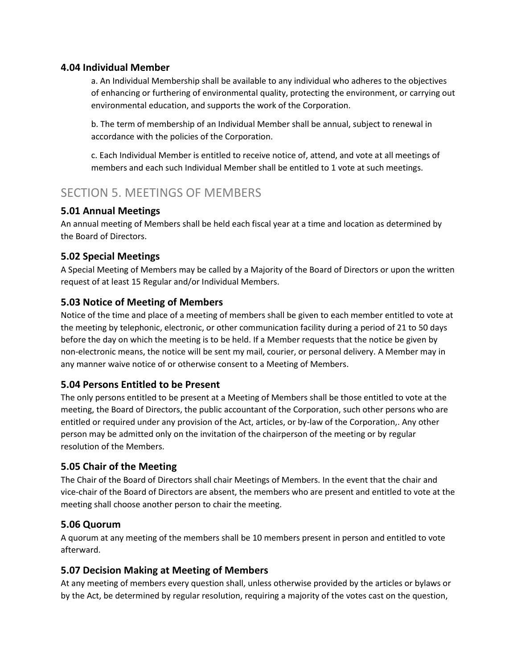#### **4.04 Individual Member**

a. An Individual Membership shall be available to any individual who adheres to the objectives of enhancing or furthering of environmental quality, protecting the environment, or carrying out environmental education, and supports the work of the Corporation.

b. The term of membership of an Individual Member shall be annual, subject to renewal in accordance with the policies of the Corporation.

c. Each Individual Member is entitled to receive notice of, attend, and vote at all meetings of members and each such Individual Member shall be entitled to 1 vote at such meetings.

### SECTION 5. MEETINGS OF MEMBERS

#### **5.01 Annual Meetings**

An annual meeting of Members shall be held each fiscal year at a time and location as determined by the Board of Directors.

#### **5.02 Special Meetings**

A Special Meeting of Members may be called by a Majority of the Board of Directors or upon the written request of at least 15 Regular and/or Individual Members.

#### **5.03 Notice of Meeting of Members**

Notice of the time and place of a meeting of members shall be given to each member entitled to vote at the meeting by telephonic, electronic, or other communication facility during a period of 21 to 50 days before the day on which the meeting is to be held. If a Member requests that the notice be given by non-electronic means, the notice will be sent my mail, courier, or personal delivery. A Member may in any manner waive notice of or otherwise consent to a Meeting of Members.

#### **5.04 Persons Entitled to be Present**

The only persons entitled to be present at a Meeting of Members shall be those entitled to vote at the meeting, the Board of Directors, the public accountant of the Corporation, such other persons who are entitled or required under any provision of the Act, articles, or by-law of the Corporation,. Any other person may be admitted only on the invitation of the chairperson of the meeting or by regular resolution of the Members.

#### **5.05 Chair of the Meeting**

The Chair of the Board of Directors shall chair Meetings of Members. In the event that the chair and vice-chair of the Board of Directors are absent, the members who are present and entitled to vote at the meeting shall choose another person to chair the meeting.

#### **5.06 Quorum**

A quorum at any meeting of the members shall be 10 members present in person and entitled to vote afterward.

#### **5.07 Decision Making at Meeting of Members**

At any meeting of members every question shall, unless otherwise provided by the articles or bylaws or by the Act, be determined by regular resolution, requiring a majority of the votes cast on the question,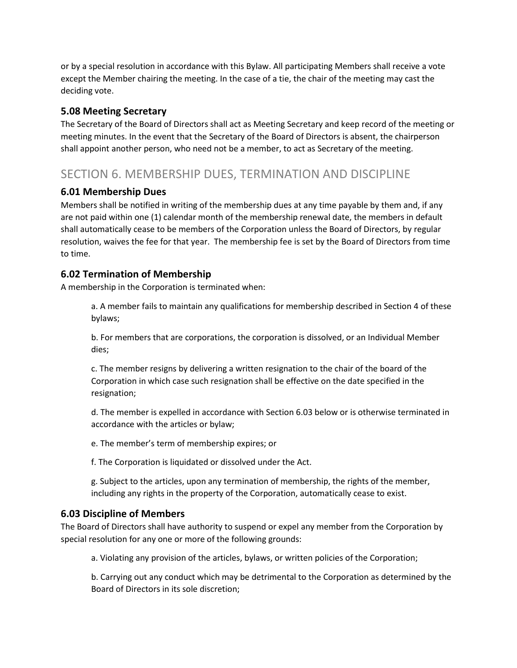or by a special resolution in accordance with this Bylaw. All participating Members shall receive a vote except the Member chairing the meeting. In the case of a tie, the chair of the meeting may cast the deciding vote.

#### **5.08 Meeting Secretary**

The Secretary of the Board of Directors shall act as Meeting Secretary and keep record of the meeting or meeting minutes. In the event that the Secretary of the Board of Directors is absent, the chairperson shall appoint another person, who need not be a member, to act as Secretary of the meeting.

### SECTION 6. MEMBERSHIP DUES, TERMINATION AND DISCIPLINE

#### **6.01 Membership Dues**

Members shall be notified in writing of the membership dues at any time payable by them and, if any are not paid within one (1) calendar month of the membership renewal date, the members in default shall automatically cease to be members of the Corporation unless the Board of Directors, by regular resolution, waives the fee for that year. The membership fee is set by the Board of Directors from time to time.

#### **6.02 Termination of Membership**

A membership in the Corporation is terminated when:

a. A member fails to maintain any qualifications for membership described in Section 4 of these bylaws;

b. For members that are corporations, the corporation is dissolved, or an Individual Member dies;

c. The member resigns by delivering a written resignation to the chair of the board of the Corporation in which case such resignation shall be effective on the date specified in the resignation;

d. The member is expelled in accordance with Section 6.03 below or is otherwise terminated in accordance with the articles or bylaw;

e. The member's term of membership expires; or

f. The Corporation is liquidated or dissolved under the Act.

g. Subject to the articles, upon any termination of membership, the rights of the member, including any rights in the property of the Corporation, automatically cease to exist.

#### **6.03 Discipline of Members**

The Board of Directors shall have authority to suspend or expel any member from the Corporation by special resolution for any one or more of the following grounds:

a. Violating any provision of the articles, bylaws, or written policies of the Corporation;

b. Carrying out any conduct which may be detrimental to the Corporation as determined by the Board of Directors in its sole discretion;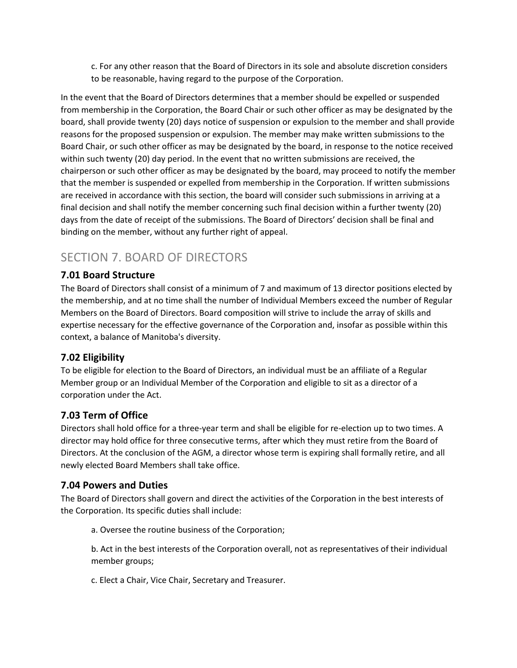c. For any other reason that the Board of Directors in its sole and absolute discretion considers to be reasonable, having regard to the purpose of the Corporation.

In the event that the Board of Directors determines that a member should be expelled or suspended from membership in the Corporation, the Board Chair or such other officer as may be designated by the board, shall provide twenty (20) days notice of suspension or expulsion to the member and shall provide reasons for the proposed suspension or expulsion. The member may make written submissions to the Board Chair, or such other officer as may be designated by the board, in response to the notice received within such twenty (20) day period. In the event that no written submissions are received, the chairperson or such other officer as may be designated by the board, may proceed to notify the member that the member is suspended or expelled from membership in the Corporation. If written submissions are received in accordance with this section, the board will consider such submissions in arriving at a final decision and shall notify the member concerning such final decision within a further twenty (20) days from the date of receipt of the submissions. The Board of Directors' decision shall be final and binding on the member, without any further right of appeal.

# SECTION 7. BOARD OF DIRECTORS

#### **7.01 Board Structure**

The Board of Directors shall consist of a minimum of 7 and maximum of 13 director positions elected by the membership, and at no time shall the number of Individual Members exceed the number of Regular Members on the Board of Directors. Board composition will strive to include the array of skills and expertise necessary for the effective governance of the Corporation and, insofar as possible within this context, a balance of Manitoba's diversity.

#### **7.02 Eligibility**

To be eligible for election to the Board of Directors, an individual must be an affiliate of a Regular Member group or an Individual Member of the Corporation and eligible to sit as a director of a corporation under the Act.

#### **7.03 Term of Office**

Directors shall hold office for a three-year term and shall be eligible for re-election up to two times. A director may hold office for three consecutive terms, after which they must retire from the Board of Directors. At the conclusion of the AGM, a director whose term is expiring shall formally retire, and all newly elected Board Members shall take office.

#### **7.04 Powers and Duties**

The Board of Directors shall govern and direct the activities of the Corporation in the best interests of the Corporation. Its specific duties shall include:

a. Oversee the routine business of the Corporation;

b. Act in the best interests of the Corporation overall, not as representatives of their individual member groups;

c. Elect a Chair, Vice Chair, Secretary and Treasurer.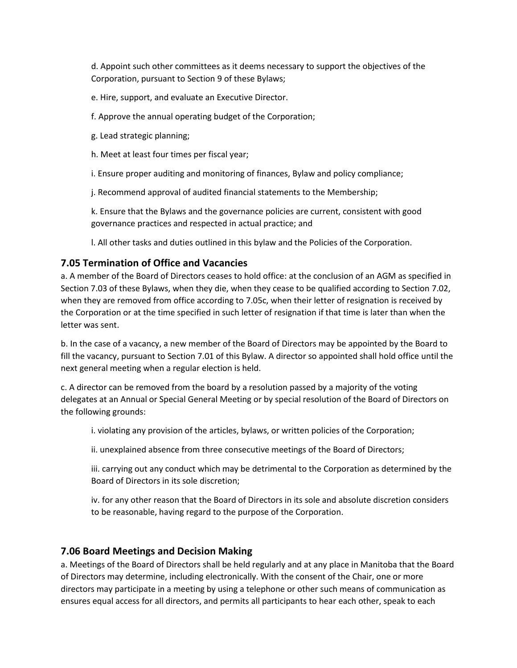d. Appoint such other committees as it deems necessary to support the objectives of the Corporation, pursuant to Section 9 of these Bylaws;

e. Hire, support, and evaluate an Executive Director.

f. Approve the annual operating budget of the Corporation;

- g. Lead strategic planning;
- h. Meet at least four times per fiscal year;

i. Ensure proper auditing and monitoring of finances, Bylaw and policy compliance;

j. Recommend approval of audited financial statements to the Membership;

k. Ensure that the Bylaws and the governance policies are current, consistent with good governance practices and respected in actual practice; and

l. All other tasks and duties outlined in this bylaw and the Policies of the Corporation.

#### **7.05 Termination of Office and Vacancies**

a. A member of the Board of Directors ceases to hold office: at the conclusion of an AGM as specified in Section 7.03 of these Bylaws, when they die, when they cease to be qualified according to Section 7.02, when they are removed from office according to 7.05c, when their letter of resignation is received by the Corporation or at the time specified in such letter of resignation if that time is later than when the letter was sent.

b. In the case of a vacancy, a new member of the Board of Directors may be appointed by the Board to fill the vacancy, pursuant to Section 7.01 of this Bylaw. A director so appointed shall hold office until the next general meeting when a regular election is held.

c. A director can be removed from the board by a resolution passed by a majority of the voting delegates at an Annual or Special General Meeting or by special resolution of the Board of Directors on the following grounds:

i. violating any provision of the articles, bylaws, or written policies of the Corporation;

ii. unexplained absence from three consecutive meetings of the Board of Directors;

iii. carrying out any conduct which may be detrimental to the Corporation as determined by the Board of Directors in its sole discretion;

iv. for any other reason that the Board of Directors in its sole and absolute discretion considers to be reasonable, having regard to the purpose of the Corporation.

#### **7.06 Board Meetings and Decision Making**

a. Meetings of the Board of Directors shall be held regularly and at any place in Manitoba that the Board of Directors may determine, including electronically. With the consent of the Chair, one or more directors may participate in a meeting by using a telephone or other such means of communication as ensures equal access for all directors, and permits all participants to hear each other, speak to each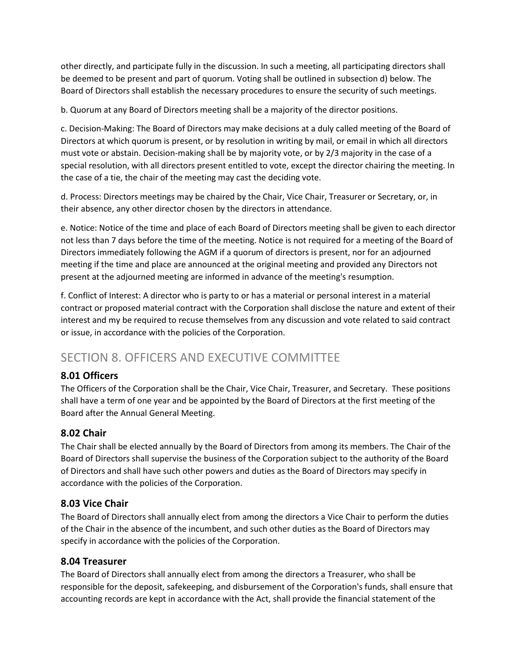other directly, and participate fully in the discussion. In such a meeting, all participating directors shall be deemed to be present and part of quorum. Voting shall be outlined in subsection d) below. The Board of Directors shall establish the necessary procedures to ensure the security of such meetings.

b. Quorum at any Board of Directors meeting shall be a majority of the director positions.

c. Decision-Making: The Board of Directors may make decisions at a duly called meeting of the Board of Directors at which quorum is present, or by resolution in writing by mail, or email in which all directors must vote or abstain. Decision-making shall be by majority vote, or by 2/3 majority in the case of a special resolution, with all directors present entitled to vote, except the director chairing the meeting. In the case of a tie, the chair of the meeting may cast the deciding vote.

d. Process: Directors meetings may be chaired by the Chair, Vice Chair, Treasurer or Secretary, or, in their absence, any other director chosen by the directors in attendance.

e. Notice: Notice of the time and place of each Board of Directors meeting shall be given to each director not less than 7 days before the time of the meeting. Notice is not required for a meeting of the Board of Directors immediately following the AGM if a quorum of directors is present, nor for an adjourned meeting if the time and place are announced at the original meeting and provided any Directors not present at the adjourned meeting are informed in advance of the meeting's resumption.

f. Conflict of Interest: A director who is party to or has a material or personal interest in a material contract or proposed material contract with the Corporation shall disclose the nature and extent of their interest and my be required to recuse themselves from any discussion and vote related to said contract or issue, in accordance with the policies of the Corporation.

## SECTION 8. OFFICERS AND EXECUTIVE COMMITTEE

#### **8.01 Officers**

The Officers of the Corporation shall be the Chair, Vice Chair, Treasurer, and Secretary. These positions shall have a term of one year and be appointed by the Board of Directors at the first meeting of the Board after the Annual General Meeting.

#### **8.02 Chair**

The Chair shall be elected annually by the Board of Directors from among its members. The Chair of the Board of Directors shall supervise the business of the Corporation subject to the authority of the Board of Directors and shall have such other powers and duties as the Board of Directors may specify in accordance with the policies of the Corporation.

#### **8.03 Vice Chair**

The Board of Directors shall annually elect from among the directors a Vice Chair to perform the duties of the Chair in the absence of the incumbent, and such other duties as the Board of Directors may specify in accordance with the policies of the Corporation.

#### **8.04 Treasurer**

The Board of Directors shall annually elect from among the directors a Treasurer, who shall be responsible for the deposit, safekeeping, and disbursement of the Corporation's funds, shall ensure that accounting records are kept in accordance with the Act, shall provide the financial statement of the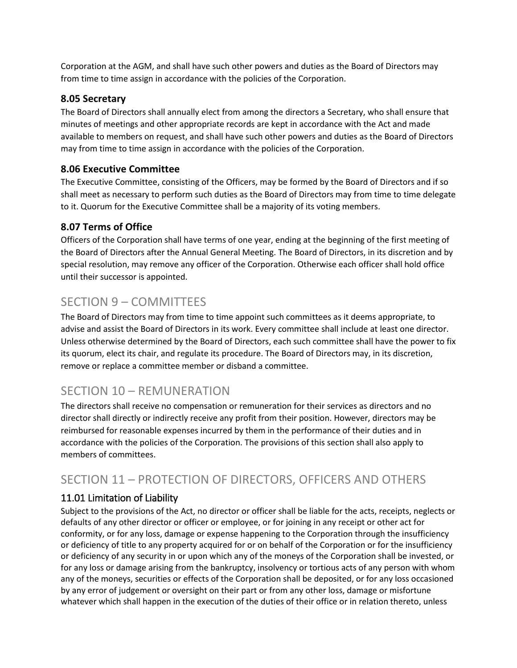Corporation at the AGM, and shall have such other powers and duties as the Board of Directors may from time to time assign in accordance with the policies of the Corporation.

#### **8.05 Secretary**

The Board of Directors shall annually elect from among the directors a Secretary, who shall ensure that minutes of meetings and other appropriate records are kept in accordance with the Act and made available to members on request, and shall have such other powers and duties as the Board of Directors may from time to time assign in accordance with the policies of the Corporation.

#### **8.06 Executive Committee**

The Executive Committee, consisting of the Officers, may be formed by the Board of Directors and if so shall meet as necessary to perform such duties as the Board of Directors may from time to time delegate to it. Quorum for the Executive Committee shall be a majority of its voting members.

### **8.07 Terms of Office**

Officers of the Corporation shall have terms of one year, ending at the beginning of the first meeting of the Board of Directors after the Annual General Meeting. The Board of Directors, in its discretion and by special resolution, may remove any officer of the Corporation. Otherwise each officer shall hold office until their successor is appointed.

# SECTION 9 – COMMITTEES

The Board of Directors may from time to time appoint such committees as it deems appropriate, to advise and assist the Board of Directors in its work. Every committee shall include at least one director. Unless otherwise determined by the Board of Directors, each such committee shall have the power to fix its quorum, elect its chair, and regulate its procedure. The Board of Directors may, in its discretion, remove or replace a committee member or disband a committee.

## SECTION 10 – REMUNERATION

The directors shall receive no compensation or remuneration for their services as directors and no director shall directly or indirectly receive any profit from their position. However, directors may be reimbursed for reasonable expenses incurred by them in the performance of their duties and in accordance with the policies of the Corporation. The provisions of this section shall also apply to members of committees.

# SECTION 11 – PROTECTION OF DIRECTORS, OFFICERS AND OTHERS

### 11.01 Limitation of Liability

Subject to the provisions of the Act, no director or officer shall be liable for the acts, receipts, neglects or defaults of any other director or officer or employee, or for joining in any receipt or other act for conformity, or for any loss, damage or expense happening to the Corporation through the insufficiency or deficiency of title to any property acquired for or on behalf of the Corporation or for the insufficiency or deficiency of any security in or upon which any of the moneys of the Corporation shall be invested, or for any loss or damage arising from the bankruptcy, insolvency or tortious acts of any person with whom any of the moneys, securities or effects of the Corporation shall be deposited, or for any loss occasioned by any error of judgement or oversight on their part or from any other loss, damage or misfortune whatever which shall happen in the execution of the duties of their office or in relation thereto, unless